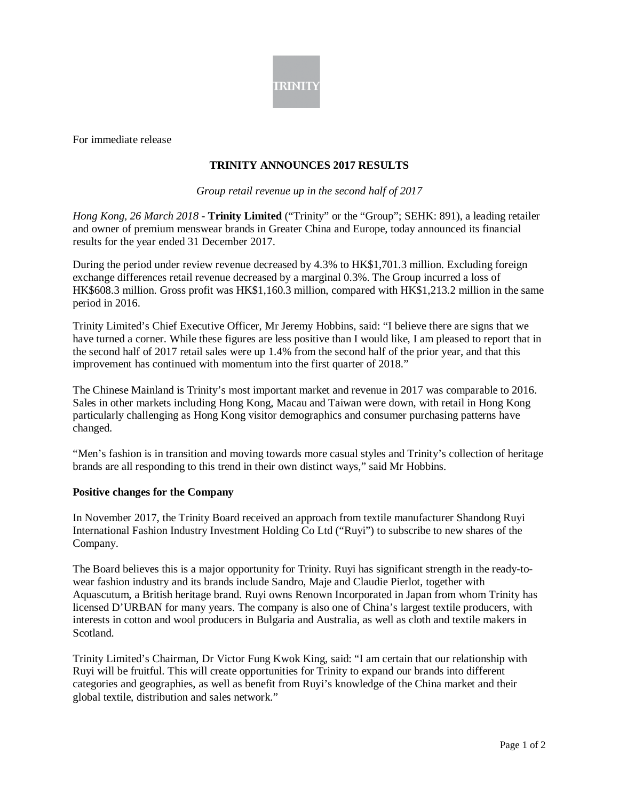

For immediate release

## **TRINITY ANNOUNCES 2017 RESULTS**

I

*Group retail revenue up in the second half of 2017*

*Hong Kong, 26 March 2018* **- Trinity Limited** ("Trinity" or the "Group"; SEHK: 891), a leading retailer and owner of premium menswear brands in Greater China and Europe, today announced its financial results for the year ended 31 December 2017.

During the period under review revenue decreased by 4.3% to HK\$1,701.3 million. Excluding foreign exchange differences retail revenue decreased by a marginal 0.3%. The Group incurred a loss of HK\$608.3 million. Gross profit was HK\$1,160.3 million, compared with HK\$1,213.2 million in the same period in 2016.

Trinity Limited's Chief Executive Officer, Mr Jeremy Hobbins, said: "I believe there are signs that we have turned a corner. While these figures are less positive than I would like, I am pleased to report that in the second half of 2017 retail sales were up 1.4% from the second half of the prior year, and that this improvement has continued with momentum into the first quarter of 2018."

The Chinese Mainland is Trinity's most important market and revenue in 2017 was comparable to 2016. Sales in other markets including Hong Kong, Macau and Taiwan were down, with retail in Hong Kong particularly challenging as Hong Kong visitor demographics and consumer purchasing patterns have changed.

"Men's fashion is in transition and moving towards more casual styles and Trinity's collection of heritage brands are all responding to this trend in their own distinct ways," said Mr Hobbins.

## **Positive changes for the Company**

In November 2017, the Trinity Board received an approach from textile manufacturer Shandong Ruyi International Fashion Industry Investment Holding Co Ltd ("Ruyi") to subscribe to new shares of the Company.

The Board believes this is a major opportunity for Trinity. Ruyi has significant strength in the ready-towear fashion industry and its brands include Sandro, Maje and Claudie Pierlot, together with Aquascutum, a British heritage brand. Ruyi owns Renown Incorporated in Japan from whom Trinity has licensed D'URBAN for many years. The company is also one of China's largest textile producers, with interests in cotton and wool producers in Bulgaria and Australia, as well as cloth and textile makers in Scotland.

Trinity Limited's Chairman, Dr Victor Fung Kwok King, said: "I am certain that our relationship with Ruyi will be fruitful. This will create opportunities for Trinity to expand our brands into different categories and geographies, as well as benefit from Ruyi's knowledge of the China market and their global textile, distribution and sales network."